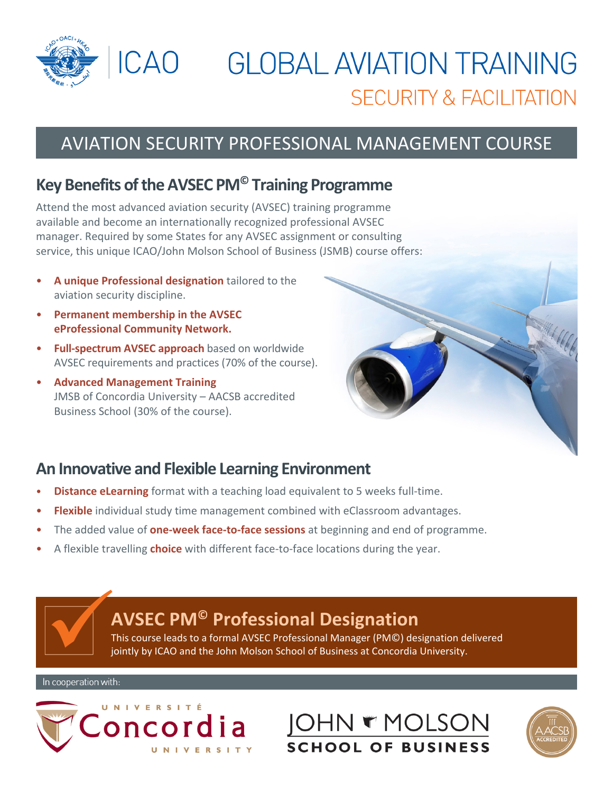

# **GLOBAL AVIATION TRAINING SECURITY & FACILITATION**

# AVIATION SECURITY PROFESSIONAL MANAGEMENT COURSE

### **Key Benefits oftheAVSEC PM© Training Programme**

Attend the most advanced aviation security (AVSEC) training programme available and become an internationally recognized professional AVSEC manager. Required by some States for any AVSEC assignment or consulting service, this unique ICAO/John Molson School of Business (JSMB) course offers:

- **A unique Professional designation** tailored to the aviation security discipline.
- **Permanent membership in the AVSEC eProfessional Community Network.**
- **Full‐spectrum AVSEC approach** based on worldwide AVSEC requirements and practices (70% of the course).
- **Advanced Management Training** JMSB of Concordia University – AACSB accredited Business School (30% of the course).



#### **An Innovative and Flexible Learning Environment**

- **Distance eLearning** format with a teaching load equivalent to 5 weeks full-time.
- **Flexible** individual study time management combined with eClassroom advantages.
- The added value of **one‐week face‐to‐face sessions** at beginning and end of programme.
- A flexible travelling **choice** with different face‐to‐face locations during the year.

# **AVSEC PM© Professional Designation**

This course leads to a formal AVSEC Professional Manager (PM©) designation delivered jointly by ICAO and the John Molson School of Business at Concordia University.



**JOHN & MOLSON SCHOOL OF BUSINESS**